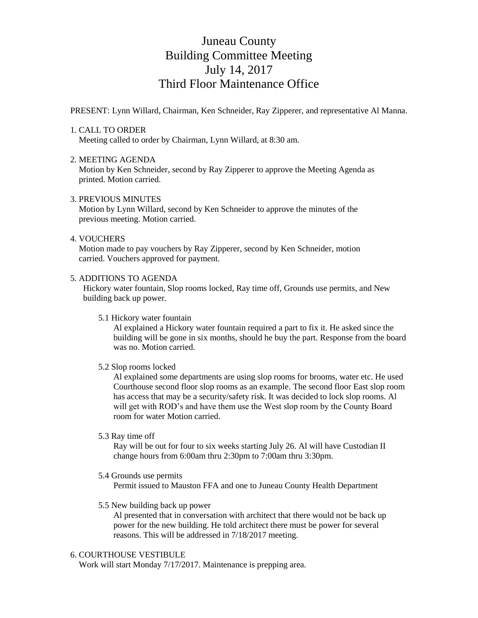# Juneau County Building Committee Meeting July 14, 2017 Third Floor Maintenance Office

PRESENT: Lynn Willard, Chairman, Ken Schneider, Ray Zipperer, and representative Al Manna.

## 1. CALL TO ORDER

Meeting called to order by Chairman, Lynn Willard, at 8:30 am.

## 2. MEETING AGENDA

 Motion by Ken Schneider, second by Ray Zipperer to approve the Meeting Agenda as printed. Motion carried.

## 3. PREVIOUS MINUTES

 Motion by Lynn Willard, second by Ken Schneider to approve the minutes of the previous meeting. Motion carried.

#### 4. VOUCHERS

 Motion made to pay vouchers by Ray Zipperer, second by Ken Schneider, motion carried. Vouchers approved for payment.

#### 5. ADDITIONS TO AGENDA

 Hickory water fountain, Slop rooms locked, Ray time off, Grounds use permits, and New building back up power.

5.1 Hickory water fountain

 Al explained a Hickory water fountain required a part to fix it. He asked since the building will be gone in six months, should he buy the part. Response from the board was no. Motion carried.

#### 5.2 Slop rooms locked

 Al explained some departments are using slop rooms for brooms, water etc. He used Courthouse second floor slop rooms as an example. The second floor East slop room has access that may be a security/safety risk. It was decided to lock slop rooms. Al will get with ROD's and have them use the West slop room by the County Board room for water Motion carried.

5.3 Ray time off

 Ray will be out for four to six weeks starting July 26. Al will have Custodian II change hours from 6:00am thru 2:30pm to 7:00am thru 3:30pm.

5.4 Grounds use permits

Permit issued to Mauston FFA and one to Juneau County Health Department

5.5 New building back up power

 Al presented that in conversation with architect that there would not be back up power for the new building. He told architect there must be power for several reasons. This will be addressed in 7/18/2017 meeting.

#### 6. COURTHOUSE VESTIBULE

Work will start Monday 7/17/2017. Maintenance is prepping area.